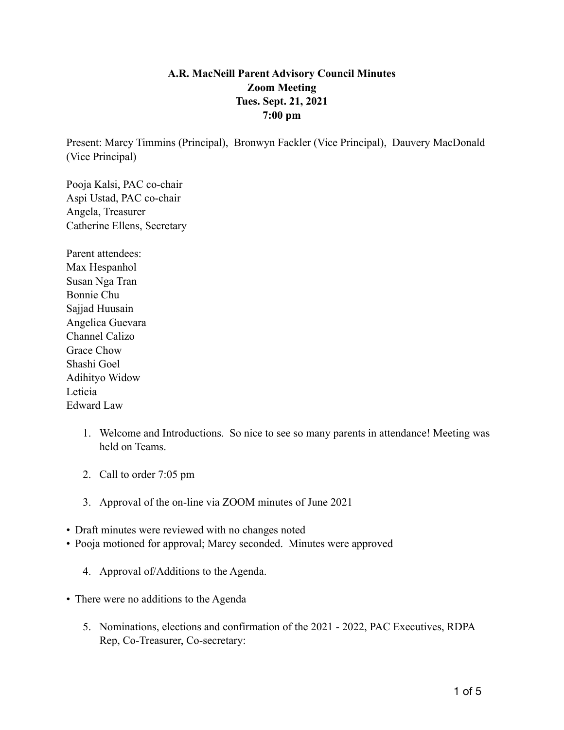## **A.R. MacNeill Parent Advisory Council Minutes Zoom Meeting Tues. Sept. 21, 2021 7:00 pm**

Present: Marcy Timmins (Principal), Bronwyn Fackler (Vice Principal), Dauvery MacDonald (Vice Principal)

Pooja Kalsi, PAC co-chair Aspi Ustad, PAC co-chair Angela, Treasurer Catherine Ellens, Secretary

Parent attendees: Max Hespanhol Susan Nga Tran Bonnie Chu Sajjad Huusain Angelica Guevara Channel Calizo Grace Chow Shashi Goel Adihityo Widow Leticia Edward Law

- 1. Welcome and Introductions. So nice to see so many parents in attendance! Meeting was held on Teams.
- 2. Call to order 7:05 pm
- 3. Approval of the on-line via ZOOM minutes of June 2021
- Draft minutes were reviewed with no changes noted
- Pooja motioned for approval; Marcy seconded. Minutes were approved
	- 4. Approval of/Additions to the Agenda.
- There were no additions to the Agenda
	- 5. Nominations, elections and confirmation of the 2021 2022, PAC Executives, RDPA Rep, Co-Treasurer, Co-secretary: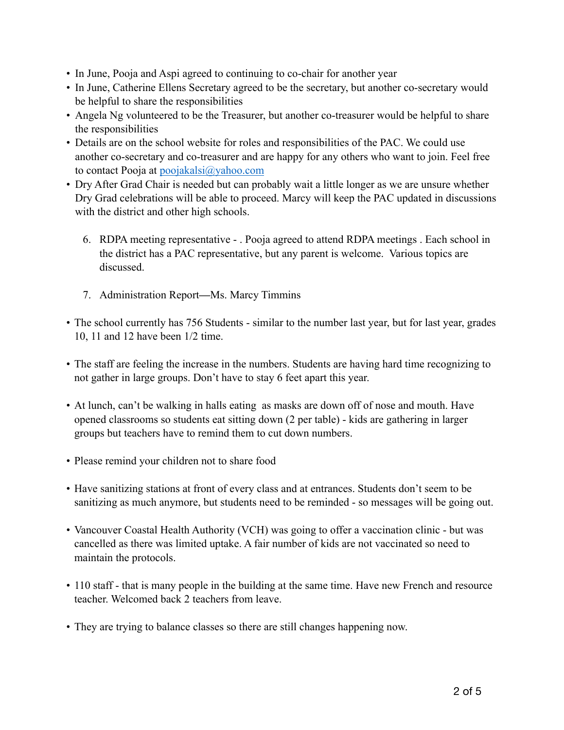- In June, Pooja and Aspi agreed to continuing to co-chair for another year
- In June, Catherine Ellens Secretary agreed to be the secretary, but another co-secretary would be helpful to share the responsibilities
- Angela Ng volunteered to be the Treasurer, but another co-treasurer would be helpful to share the responsibilities
- Details are on the school website for roles and responsibilities of the PAC. We could use another co-secretary and co-treasurer and are happy for any others who want to join. Feel free to contact Pooja at poojakalsi@yahoo.com
- Dry After Grad Chair is needed but can probably wait a little longer as we are unsure whether Dry Grad celebrations will be able to proceed. Marcy will keep the PAC updated in discussions with the district and other high schools.
	- 6. RDPA meeting representative . Pooja agreed to attend RDPA meetings . Each school in the district has a PAC representative, but any parent is welcome. Various topics are discussed.
	- 7. Administration Report**—**Ms. Marcy Timmins
- The school currently has 756 Students similar to the number last year, but for last year, grades 10, 11 and 12 have been 1/2 time.
- The staff are feeling the increase in the numbers. Students are having hard time recognizing to not gather in large groups. Don't have to stay 6 feet apart this year.
- At lunch, can't be walking in halls eating as masks are down off of nose and mouth. Have opened classrooms so students eat sitting down (2 per table) - kids are gathering in larger groups but teachers have to remind them to cut down numbers.
- Please remind your children not to share food
- Have sanitizing stations at front of every class and at entrances. Students don't seem to be sanitizing as much anymore, but students need to be reminded - so messages will be going out.
- Vancouver Coastal Health Authority (VCH) was going to offer a vaccination clinic but was cancelled as there was limited uptake. A fair number of kids are not vaccinated so need to maintain the protocols.
- 110 staff that is many people in the building at the same time. Have new French and resource teacher. Welcomed back 2 teachers from leave.
- They are trying to balance classes so there are still changes happening now.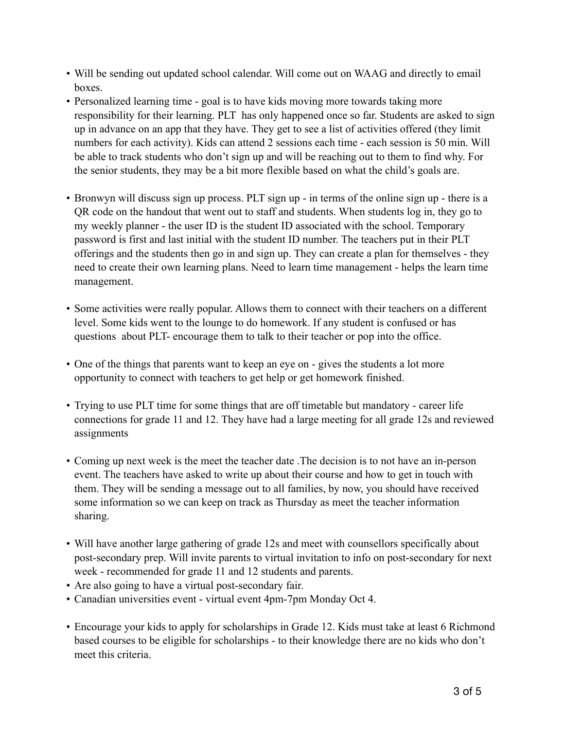- Will be sending out updated school calendar. Will come out on WAAG and directly to email boxes.
- Personalized learning time goal is to have kids moving more towards taking more responsibility for their learning. PLT has only happened once so far. Students are asked to sign up in advance on an app that they have. They get to see a list of activities offered (they limit numbers for each activity). Kids can attend 2 sessions each time - each session is 50 min. Will be able to track students who don't sign up and will be reaching out to them to find why. For the senior students, they may be a bit more flexible based on what the child's goals are.
- Bronwyn will discuss sign up process. PLT sign up in terms of the online sign up there is a QR code on the handout that went out to staff and students. When students log in, they go to my weekly planner - the user ID is the student ID associated with the school. Temporary password is first and last initial with the student ID number. The teachers put in their PLT offerings and the students then go in and sign up. They can create a plan for themselves - they need to create their own learning plans. Need to learn time management - helps the learn time management.
- Some activities were really popular. Allows them to connect with their teachers on a different level. Some kids went to the lounge to do homework. If any student is confused or has questions about PLT- encourage them to talk to their teacher or pop into the office.
- One of the things that parents want to keep an eye on gives the students a lot more opportunity to connect with teachers to get help or get homework finished.
- Trying to use PLT time for some things that are off timetable but mandatory career life connections for grade 11 and 12. They have had a large meeting for all grade 12s and reviewed assignments
- Coming up next week is the meet the teacher date .The decision is to not have an in-person event. The teachers have asked to write up about their course and how to get in touch with them. They will be sending a message out to all families, by now, you should have received some information so we can keep on track as Thursday as meet the teacher information sharing.
- Will have another large gathering of grade 12s and meet with counsellors specifically about post-secondary prep. Will invite parents to virtual invitation to info on post-secondary for next week - recommended for grade 11 and 12 students and parents.
- Are also going to have a virtual post-secondary fair.
- Canadian universities event virtual event 4pm-7pm Monday Oct 4.
- Encourage your kids to apply for scholarships in Grade 12. Kids must take at least 6 Richmond based courses to be eligible for scholarships - to their knowledge there are no kids who don't meet this criteria.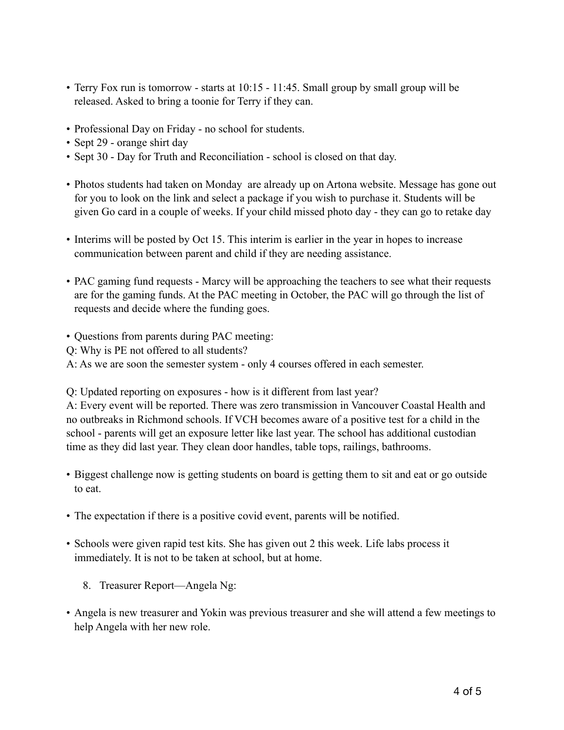- Terry Fox run is tomorrow starts at 10:15 11:45. Small group by small group will be released. Asked to bring a toonie for Terry if they can.
- Professional Day on Friday no school for students.
- Sept 29 orange shirt day
- Sept 30 Day for Truth and Reconciliation school is closed on that day.
- Photos students had taken on Monday are already up on Artona website. Message has gone out for you to look on the link and select a package if you wish to purchase it. Students will be given Go card in a couple of weeks. If your child missed photo day - they can go to retake day
- Interims will be posted by Oct 15. This interim is earlier in the year in hopes to increase communication between parent and child if they are needing assistance.
- PAC gaming fund requests Marcy will be approaching the teachers to see what their requests are for the gaming funds. At the PAC meeting in October, the PAC will go through the list of requests and decide where the funding goes.
- Questions from parents during PAC meeting:

Q: Why is PE not offered to all students?

A: As we are soon the semester system - only 4 courses offered in each semester.

Q: Updated reporting on exposures - how is it different from last year?

A: Every event will be reported. There was zero transmission in Vancouver Coastal Health and no outbreaks in Richmond schools. If VCH becomes aware of a positive test for a child in the school - parents will get an exposure letter like last year. The school has additional custodian time as they did last year. They clean door handles, table tops, railings, bathrooms.

- Biggest challenge now is getting students on board is getting them to sit and eat or go outside to eat.
- The expectation if there is a positive covid event, parents will be notified.
- Schools were given rapid test kits. She has given out 2 this week. Life labs process it immediately. It is not to be taken at school, but at home.
	- 8. Treasurer Report—Angela Ng:
- Angela is new treasurer and Yokin was previous treasurer and she will attend a few meetings to help Angela with her new role.